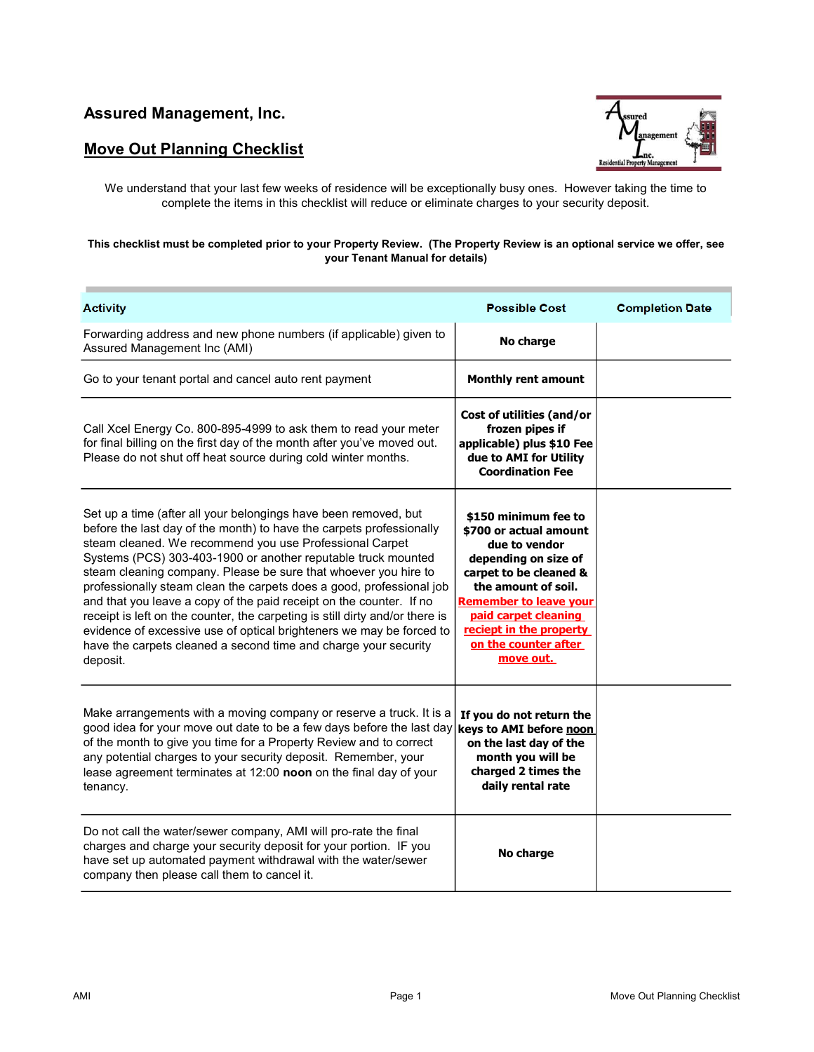## **Move Out Planning Checklist**



We understand that your last few weeks of residence will be exceptionally busy ones. However taking the time to complete the items in this checklist will reduce or eliminate charges to your security deposit.

## **This checklist must be completed prior to your Property Review. (The Property Review is an optional service we offer, see your Tenant Manual for details)**

| <b>Activity</b>                                                                                                                                                                                                                                                                                                                                                                                                                                                                                                                                                                                                                                                                                                              | <b>Possible Cost</b>                                                                                                                                                                                                                                              | <b>Completion Date</b> |
|------------------------------------------------------------------------------------------------------------------------------------------------------------------------------------------------------------------------------------------------------------------------------------------------------------------------------------------------------------------------------------------------------------------------------------------------------------------------------------------------------------------------------------------------------------------------------------------------------------------------------------------------------------------------------------------------------------------------------|-------------------------------------------------------------------------------------------------------------------------------------------------------------------------------------------------------------------------------------------------------------------|------------------------|
| Forwarding address and new phone numbers (if applicable) given to<br>Assured Management Inc (AMI)                                                                                                                                                                                                                                                                                                                                                                                                                                                                                                                                                                                                                            | No charge                                                                                                                                                                                                                                                         |                        |
| Go to your tenant portal and cancel auto rent payment                                                                                                                                                                                                                                                                                                                                                                                                                                                                                                                                                                                                                                                                        | <b>Monthly rent amount</b>                                                                                                                                                                                                                                        |                        |
| Call Xcel Energy Co. 800-895-4999 to ask them to read your meter<br>for final billing on the first day of the month after you've moved out.<br>Please do not shut off heat source during cold winter months.                                                                                                                                                                                                                                                                                                                                                                                                                                                                                                                 | Cost of utilities (and/or<br>frozen pipes if<br>applicable) plus \$10 Fee<br>due to AMI for Utility<br><b>Coordination Fee</b>                                                                                                                                    |                        |
| Set up a time (after all your belongings have been removed, but<br>before the last day of the month) to have the carpets professionally<br>steam cleaned. We recommend you use Professional Carpet<br>Systems (PCS) 303-403-1900 or another reputable truck mounted<br>steam cleaning company. Please be sure that whoever you hire to<br>professionally steam clean the carpets does a good, professional job<br>and that you leave a copy of the paid receipt on the counter. If no<br>receipt is left on the counter, the carpeting is still dirty and/or there is<br>evidence of excessive use of optical brighteners we may be forced to<br>have the carpets cleaned a second time and charge your security<br>deposit. | \$150 minimum fee to<br>\$700 or actual amount<br>due to vendor<br>depending on size of<br>carpet to be cleaned &<br>the amount of soil.<br><b>Remember to leave your</b><br>paid carpet cleaning<br>reciept in the property<br>on the counter after<br>move out. |                        |
| Make arrangements with a moving company or reserve a truck. It is a<br>good idea for your move out date to be a few days before the last day keys to AMI before noon<br>of the month to give you time for a Property Review and to correct<br>any potential charges to your security deposit. Remember, your<br>lease agreement terminates at 12:00 noon on the final day of your<br>tenancy.                                                                                                                                                                                                                                                                                                                                | If you do not return the<br>on the last day of the<br>month you will be<br>charged 2 times the<br>daily rental rate                                                                                                                                               |                        |
| Do not call the water/sewer company, AMI will pro-rate the final<br>charges and charge your security deposit for your portion. IF you<br>have set up automated payment withdrawal with the water/sewer<br>company then please call them to cancel it.                                                                                                                                                                                                                                                                                                                                                                                                                                                                        | No charge                                                                                                                                                                                                                                                         |                        |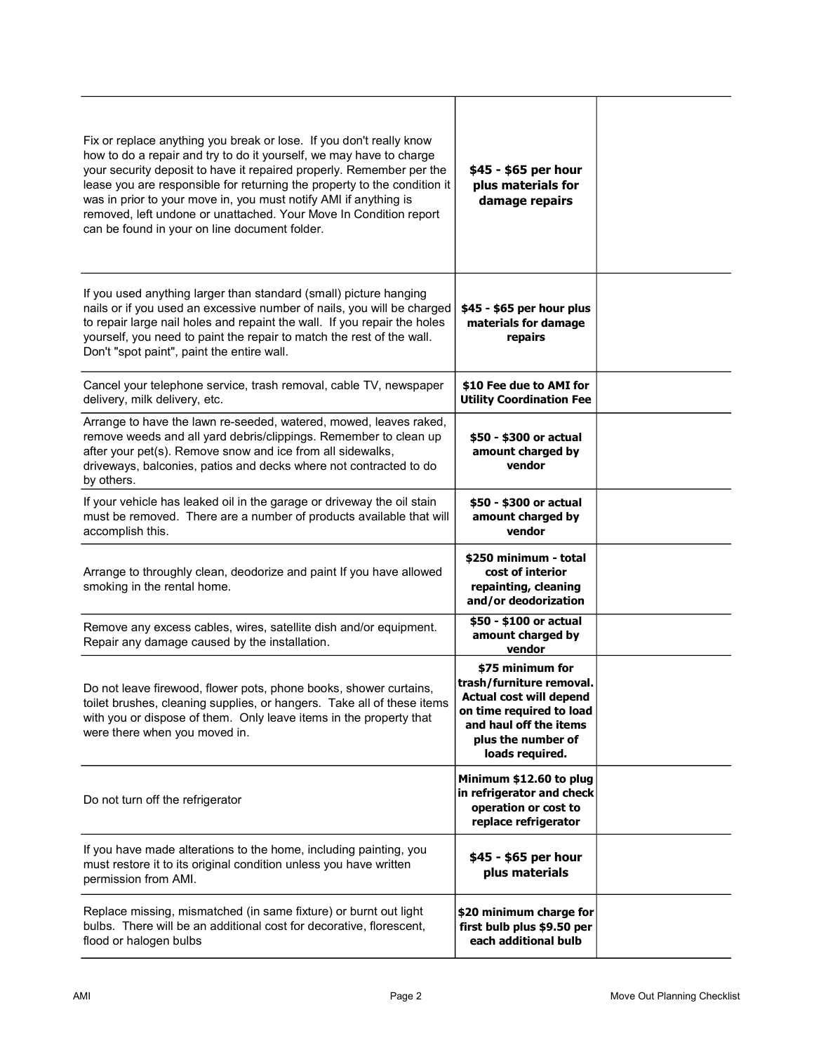| Fix or replace anything you break or lose. If you don't really know<br>how to do a repair and try to do it yourself, we may have to charge<br>your security deposit to have it repaired properly. Remember per the<br>lease you are responsible for returning the property to the condition it<br>was in prior to your move in, you must notify AMI if anything is<br>removed, left undone or unattached. Your Move In Condition report<br>can be found in your on line document folder. | \$45 - \$65 per hour<br>plus materials for<br>damage repairs                                                                                                           |  |
|------------------------------------------------------------------------------------------------------------------------------------------------------------------------------------------------------------------------------------------------------------------------------------------------------------------------------------------------------------------------------------------------------------------------------------------------------------------------------------------|------------------------------------------------------------------------------------------------------------------------------------------------------------------------|--|
| If you used anything larger than standard (small) picture hanging<br>nails or if you used an excessive number of nails, you will be charged<br>to repair large nail holes and repaint the wall. If you repair the holes<br>yourself, you need to paint the repair to match the rest of the wall.<br>Don't "spot paint", paint the entire wall.                                                                                                                                           | \$45 - \$65 per hour plus<br>materials for damage<br>repairs                                                                                                           |  |
| Cancel your telephone service, trash removal, cable TV, newspaper<br>delivery, milk delivery, etc.                                                                                                                                                                                                                                                                                                                                                                                       | \$10 Fee due to AMI for<br><b>Utility Coordination Fee</b>                                                                                                             |  |
| Arrange to have the lawn re-seeded, watered, mowed, leaves raked,<br>remove weeds and all yard debris/clippings. Remember to clean up<br>after your pet(s). Remove snow and ice from all sidewalks,<br>driveways, balconies, patios and decks where not contracted to do<br>by others.                                                                                                                                                                                                   | \$50 - \$300 or actual<br>amount charged by<br>vendor                                                                                                                  |  |
| If your vehicle has leaked oil in the garage or driveway the oil stain<br>must be removed. There are a number of products available that will<br>accomplish this.                                                                                                                                                                                                                                                                                                                        | \$50 - \$300 or actual<br>amount charged by<br>vendor                                                                                                                  |  |
| Arrange to throughly clean, deodorize and paint If you have allowed<br>smoking in the rental home.                                                                                                                                                                                                                                                                                                                                                                                       | \$250 minimum - total<br>cost of interior<br>repainting, cleaning<br>and/or deodorization                                                                              |  |
| Remove any excess cables, wires, satellite dish and/or equipment.<br>Repair any damage caused by the installation.                                                                                                                                                                                                                                                                                                                                                                       | \$50 - \$100 or actual<br>amount charged by<br>vendor                                                                                                                  |  |
| Do not leave firewood, flower pots, phone books, shower curtains,<br>toilet brushes, cleaning supplies, or hangers. Take all of these items<br>with you or dispose of them. Only leave items in the property that<br>were there when you moved in.                                                                                                                                                                                                                                       | \$75 minimum for<br>trash/furniture removal.<br>Actual cost will depend<br>on time required to load<br>and haul off the items<br>plus the number of<br>loads required. |  |
| Do not turn off the refrigerator                                                                                                                                                                                                                                                                                                                                                                                                                                                         | Minimum \$12.60 to plug<br>in refrigerator and check<br>operation or cost to<br>replace refrigerator                                                                   |  |
| If you have made alterations to the home, including painting, you<br>must restore it to its original condition unless you have written<br>permission from AMI.                                                                                                                                                                                                                                                                                                                           | \$45 - \$65 per hour<br>plus materials                                                                                                                                 |  |
| Replace missing, mismatched (in same fixture) or burnt out light<br>bulbs. There will be an additional cost for decorative, florescent,<br>flood or halogen bulbs                                                                                                                                                                                                                                                                                                                        | \$20 minimum charge for<br>first bulb plus \$9.50 per<br>each additional bulb                                                                                          |  |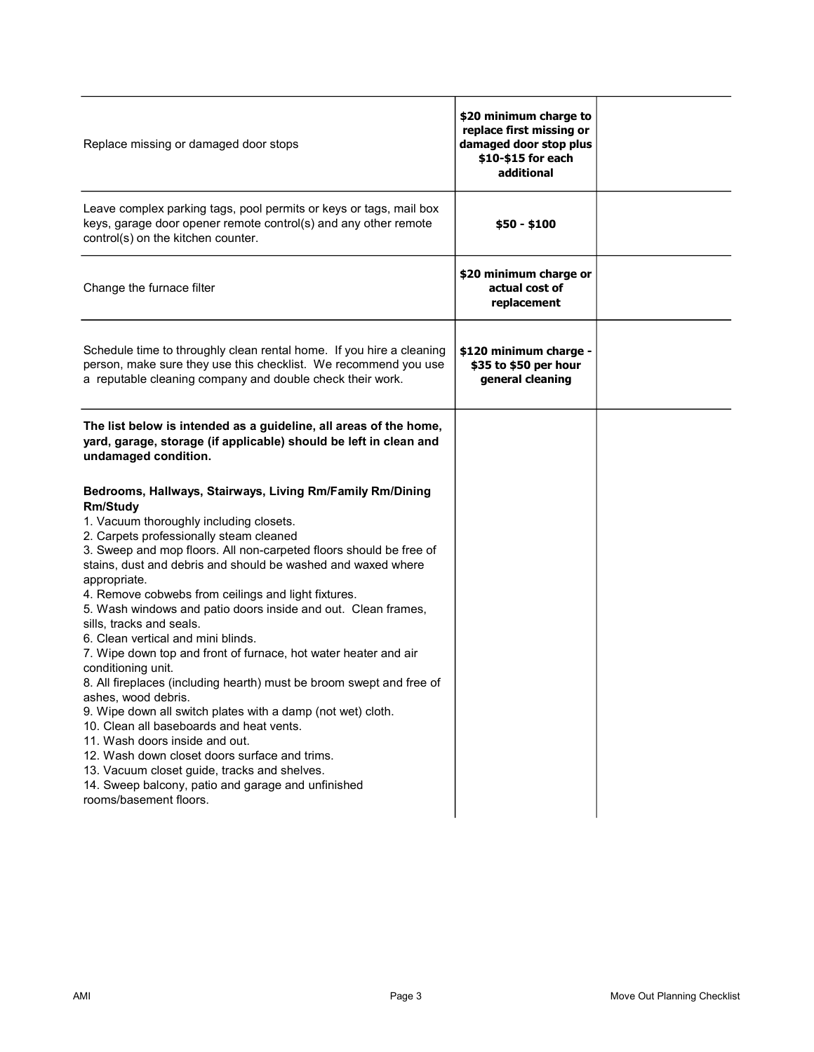| Replace missing or damaged door stops                                                                                                                                                                                                                                                                                                                                                                                                                                                                                                                                                                                                                                                                                                                                                                                                                                                                                                                                                                                                    | \$20 minimum charge to<br>replace first missing or<br>damaged door stop plus<br>\$10-\$15 for each<br>additional |  |
|------------------------------------------------------------------------------------------------------------------------------------------------------------------------------------------------------------------------------------------------------------------------------------------------------------------------------------------------------------------------------------------------------------------------------------------------------------------------------------------------------------------------------------------------------------------------------------------------------------------------------------------------------------------------------------------------------------------------------------------------------------------------------------------------------------------------------------------------------------------------------------------------------------------------------------------------------------------------------------------------------------------------------------------|------------------------------------------------------------------------------------------------------------------|--|
| Leave complex parking tags, pool permits or keys or tags, mail box<br>keys, garage door opener remote control(s) and any other remote<br>control(s) on the kitchen counter.                                                                                                                                                                                                                                                                                                                                                                                                                                                                                                                                                                                                                                                                                                                                                                                                                                                              | $$50 - $100$                                                                                                     |  |
| Change the furnace filter                                                                                                                                                                                                                                                                                                                                                                                                                                                                                                                                                                                                                                                                                                                                                                                                                                                                                                                                                                                                                | \$20 minimum charge or<br>actual cost of<br>replacement                                                          |  |
| Schedule time to throughly clean rental home. If you hire a cleaning<br>person, make sure they use this checklist. We recommend you use<br>a reputable cleaning company and double check their work.                                                                                                                                                                                                                                                                                                                                                                                                                                                                                                                                                                                                                                                                                                                                                                                                                                     | \$120 minimum charge -<br>\$35 to \$50 per hour<br>general cleaning                                              |  |
| The list below is intended as a guideline, all areas of the home,<br>yard, garage, storage (if applicable) should be left in clean and<br>undamaged condition.                                                                                                                                                                                                                                                                                                                                                                                                                                                                                                                                                                                                                                                                                                                                                                                                                                                                           |                                                                                                                  |  |
| Bedrooms, Hallways, Stairways, Living Rm/Family Rm/Dining<br><b>Rm/Study</b><br>1. Vacuum thoroughly including closets.<br>2. Carpets professionally steam cleaned<br>3. Sweep and mop floors. All non-carpeted floors should be free of<br>stains, dust and debris and should be washed and waxed where<br>appropriate.<br>4. Remove cobwebs from ceilings and light fixtures.<br>5. Wash windows and patio doors inside and out. Clean frames,<br>sills, tracks and seals.<br>6. Clean vertical and mini blinds.<br>7. Wipe down top and front of furnace, hot water heater and air<br>conditioning unit.<br>8. All fireplaces (including hearth) must be broom swept and free of<br>ashes, wood debris.<br>9. Wipe down all switch plates with a damp (not wet) cloth.<br>10. Clean all baseboards and heat vents.<br>11. Wash doors inside and out.<br>12. Wash down closet doors surface and trims.<br>13. Vacuum closet guide, tracks and shelves.<br>14. Sweep balcony, patio and garage and unfinished<br>rooms/basement floors. |                                                                                                                  |  |